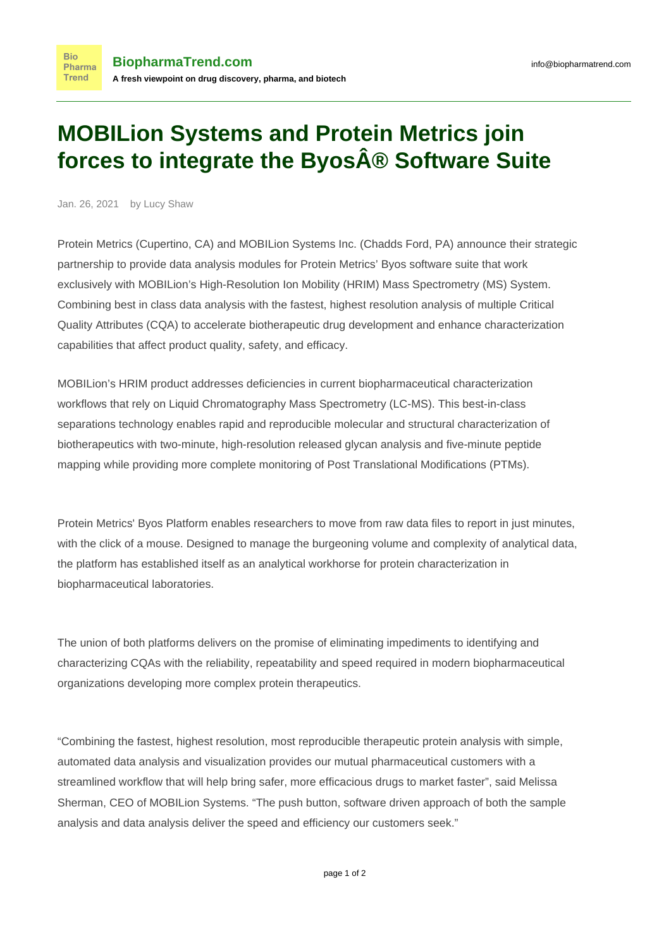## **MOBILion Systems and Protein Metrics join forces to integrate the Byos® Software Suite**

Jan. 26, 2021 by Lucy Shaw

**Bio** 

**Trend** 

Protein Metrics (Cupertino, CA) and MOBILion Systems Inc. (Chadds Ford, PA) announce their strategic partnership to provide data analysis modules for Protein Metrics' Byos software suite that work exclusively with MOBILion's High-Resolution Ion Mobility (HRIM) Mass Spectrometry (MS) System. Combining best in class data analysis with the fastest, highest resolution analysis of multiple Critical Quality Attributes (CQA) to accelerate biotherapeutic drug development and enhance characterization capabilities that affect product quality, safety, and efficacy.

MOBILion's HRIM product addresses deficiencies in current biopharmaceutical characterization workflows that rely on Liquid Chromatography Mass Spectrometry (LC-MS). This best-in-class separations technology enables rapid and reproducible molecular and structural characterization of biotherapeutics with two-minute, high-resolution released glycan analysis and five-minute peptide mapping while providing more complete monitoring of Post Translational Modifications (PTMs).

Protein Metrics' Byos Platform enables researchers to move from raw data files to report in just minutes, with the click of a mouse. Designed to manage the burgeoning volume and complexity of analytical data, the platform has established itself as an analytical workhorse for protein characterization in biopharmaceutical laboratories.

The union of both platforms delivers on the promise of eliminating impediments to identifying and characterizing CQAs with the reliability, repeatability and speed required in modern biopharmaceutical organizations developing more complex protein therapeutics.

"Combining the fastest, highest resolution, most reproducible therapeutic protein analysis with simple, automated data analysis and visualization provides our mutual pharmaceutical customers with a streamlined workflow that will help bring safer, more efficacious drugs to market faster", said Melissa Sherman, CEO of MOBILion Systems. "The push button, software driven approach of both the sample analysis and data analysis deliver the speed and efficiency our customers seek."